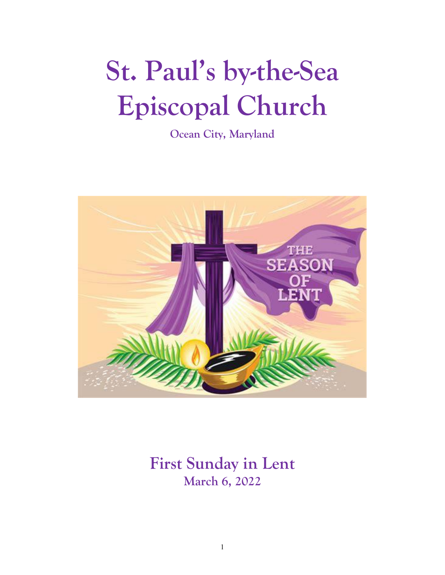# **St. Paul's by-the-Sea Episcopal Church**

**Ocean City, Maryland**



# **First Sunday in Lent March 6, 2022**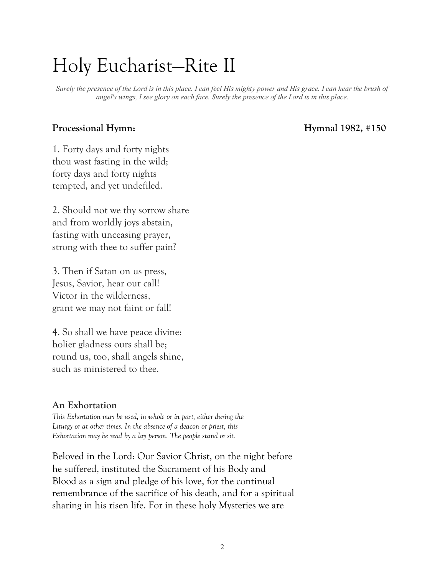# Holy Eucharist—Rite II

*Surely the presence of the Lord is in this place. I can feel His mighty power and His grace. I can hear the brush of angel's wings, I see glory on each face. Surely the presence of the Lord is in this place.*

#### Processional Hymn: **Hymnal 1982, #150**

1. Forty days and forty nights thou wast fasting in the wild; forty days and forty nights tempted, and yet undefiled.

2. Should not we thy sorrow share and from worldly joys abstain, fasting with unceasing prayer, strong with thee to suffer pain?

3. Then if Satan on us press, Jesus, Savior, hear our call! Victor in the wilderness, grant we may not faint or fall!

4. So shall we have peace divine: holier gladness ours shall be; round us, too, shall angels shine, such as ministered to thee.

#### **An Exhortation**

*This Exhortation may be used, in whole or in part, either during the Liturgy or at other times. In the absence of a deacon or priest, this Exhortation may be read by a lay person. The people stand or sit.*

Beloved in the Lord: Our Savior Christ, on the night before he suffered, instituted the Sacrament of his Body and Blood as a sign and pledge of his love, for the continual remembrance of the sacrifice of his death, and for a spiritual sharing in his risen life. For in these holy Mysteries we are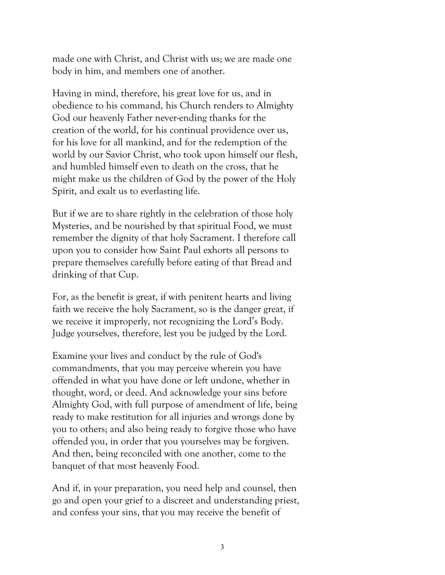made one with Christ, and Christ with us; we are made one body in him, and members one of another.

Having in mind, therefore, his great love for us, and in obedience to his command, his Church renders to Almighty God our heavenly Father never-ending thanks for the creation of the world, for his continual providence over us, for his love for all mankind, and for the redemption of the world by our Savior Christ, who took upon himself our flesh, and humbled himself even to death on the cross, that he might make us the children of God by the power of the Holy Spirit, and exalt us to everlasting life.

But if we are to share rightly in the celebration of those holy Mysteries, and be nourished by that spiritual Food, we must remember the dignity of that holy Sacrament. I therefore call upon you to consider how Saint Paul exhorts all persons to prepare themselves carefully before eating of that Bread and drinking of that Cup.

For, as the benefit is great, if with penitent hearts and living faith we receive the holy Sacrament, so is the danger great, if we receive it improperly, not recognizing the Lord's Body. Judge yourselves, therefore, lest you be judged by the Lord.

Examine your lives and conduct by the rule of God's commandments, that you may perceive wherein you have offended in what you have done or left undone, whether in thought, word, or deed. And acknowledge your sins before Almighty God, with full purpose of amendment of life, being ready to make restitution for all injuries and wrongs done by you to others; and also being ready to forgive those who have offended you, in order that you yourselves may be forgiven. And then, being reconciled with one another, come to the banquet of that most heavenly Food.

And if, in your preparation, you need help and counsel, then go and open your grief to a discreet and understanding priest, and confess your sins, that you may receive the benefit of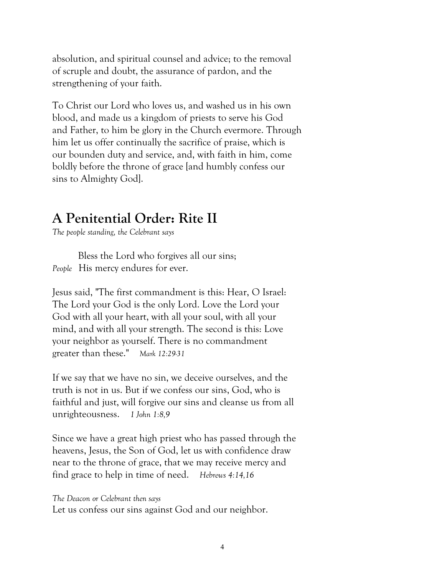absolution, and spiritual counsel and advice; to the removal of scruple and doubt, the assurance of pardon, and the strengthening of your faith.

To Christ our Lord who loves us, and washed us in his own blood, and made us a kingdom of priests to serve his God and Father, to him be glory in the Church evermore. Through him let us offer continually the sacrifice of praise, which is our bounden duty and service, and, with faith in him, come boldly before the throne of grace [and humbly confess our sins to Almighty God].

### **A Penitential Order: Rite II**

*The people standing, the Celebrant says*

 Bless the Lord who forgives all our sins; *People* His mercy endures for ever.

Jesus said, "The first commandment is this: Hear, O Israel: The Lord your God is the only Lord. Love the Lord your God with all your heart, with all your soul, with all your mind, and with all your strength. The second is this: Love your neighbor as yourself. There is no commandment greater than these." *Mark 12:29-31*

If we say that we have no sin, we deceive ourselves, and the truth is not in us. But if we confess our sins, God, who is faithful and just, will forgive our sins and cleanse us from all unrighteousness. *1 John 1:8,9*

Since we have a great high priest who has passed through the heavens, Jesus, the Son of God, let us with confidence draw near to the throne of grace, that we may receive mercy and find grace to help in time of need. *Hebrews 4:14,16*

#### *The Deacon or Celebrant then says*

Let us confess our sins against God and our neighbor.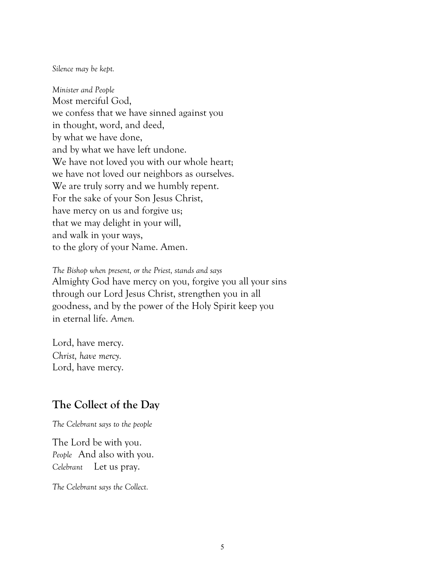*Silence may be kept.*

*Minister and People* Most merciful God, we confess that we have sinned against you in thought, word, and deed, by what we have done, and by what we have left undone. We have not loved you with our whole heart; we have not loved our neighbors as ourselves. We are truly sorry and we humbly repent. For the sake of your Son Jesus Christ, have mercy on us and forgive us; that we may delight in your will, and walk in your ways, to the glory of your Name. Amen.

*The Bishop when present, or the Priest, stands and says* Almighty God have mercy on you, forgive you all your sins through our Lord Jesus Christ, strengthen you in all goodness, and by the power of the Holy Spirit keep you in eternal life. *Amen.*

Lord, have mercy. *Christ, have mercy.* Lord, have mercy.

#### **The Collect of the Day**

*The Celebrant says to the people*

The Lord be with you. *People* And also with you. *Celebrant* Let us pray.

*The Celebrant says the Collect.*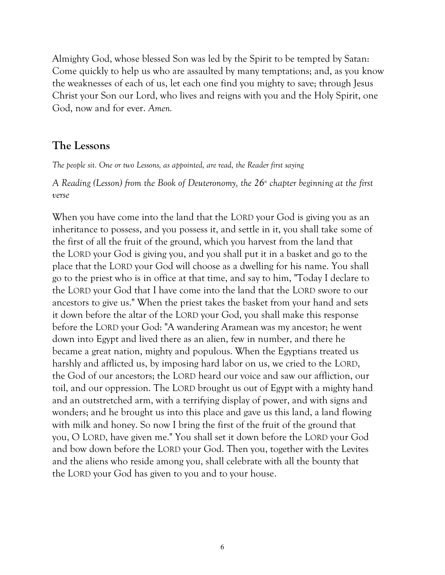Almighty God, whose blessed Son was led by the Spirit to be tempted by Satan: Come quickly to help us who are assaulted by many temptations; and, as you know the weaknesses of each of us, let each one find you mighty to save; through Jesus Christ your Son our Lord, who lives and reigns with you and the Holy Spirit, one God, now and for ever. *Amen.*

#### **The Lessons**

*The people sit. One or two Lessons, as appointed, are read, the Reader first saying*

*A Reading (Lesson) from the Book of Deuteronomy, the 26 th chapter beginning at the first verse*

When you have come into the land that the LORD your God is giving you as an inheritance to possess, and you possess it, and settle in it, you shall take some of the first of all the fruit of the ground, which you harvest from the land that the LORD your God is giving you, and you shall put it in a basket and go to the place that the LORD your God will choose as a dwelling for his name. You shall go to the priest who is in office at that time, and say to him, "Today I declare to the LORD your God that I have come into the land that the LORD swore to our ancestors to give us." When the priest takes the basket from your hand and sets it down before the altar of the LORD your God, you shall make this response before the LORD your God: "A wandering Aramean was my ancestor; he went down into Egypt and lived there as an alien, few in number, and there he became a great nation, mighty and populous. When the Egyptians treated us harshly and afflicted us, by imposing hard labor on us, we cried to the LORD, the God of our ancestors; the LORD heard our voice and saw our affliction, our toil, and our oppression. The LORD brought us out of Egypt with a mighty hand and an outstretched arm, with a terrifying display of power, and with signs and wonders; and he brought us into this place and gave us this land, a land flowing with milk and honey. So now I bring the first of the fruit of the ground that you, O LORD, have given me." You shall set it down before the LORD your God and bow down before the LORD your God. Then you, together with the Levites and the aliens who reside among you, shall celebrate with all the bounty that the LORD your God has given to you and to your house.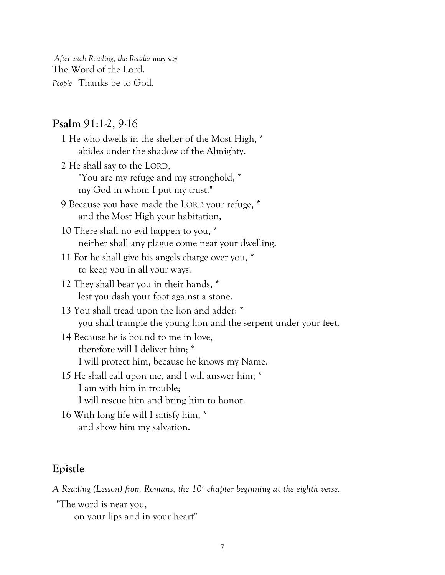*After each Reading, the Reader may say* The Word of the Lord. *People* Thanks be to God.

#### **Psalm** 91:1-2, 9-16

- 1 He who dwells in the shelter of the Most High, \* abides under the shadow of the Almighty.
- 2 He shall say to the LORD, "You are my refuge and my stronghold, \* my God in whom I put my trust."
- 9 Because you have made the LORD your refuge, \* and the Most High your habitation,
- 10 There shall no evil happen to you, \* neither shall any plague come near your dwelling.
- 11 For he shall give his angels charge over you, \* to keep you in all your ways.
- 12 They shall bear you in their hands, \* lest you dash your foot against a stone.
- 13 You shall tread upon the lion and adder; \* you shall trample the young lion and the serpent under your feet.
- 14 Because he is bound to me in love, therefore will I deliver him; \* I will protect him, because he knows my Name.
- 15 He shall call upon me, and I will answer him; \* I am with him in trouble; I will rescue him and bring him to honor.
- 16 With long life will I satisfy him, \* and show him my salvation.

#### **Epistle**

*A Reading (Lesson) from Romans, the 10 th chapter beginning at the eighth verse.*

"The word is near you, on your lips and in your heart"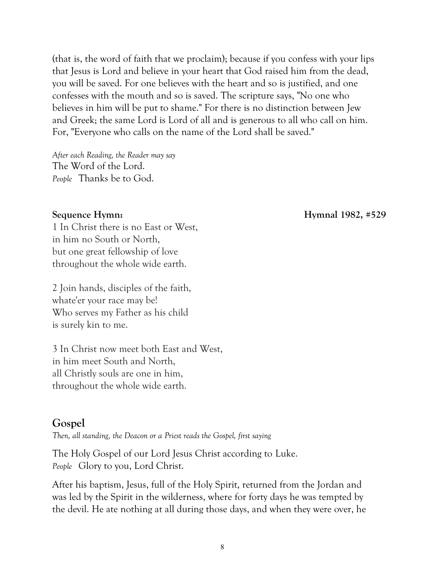(that is, the word of faith that we proclaim); because if you confess with your lips that Jesus is Lord and believe in your heart that God raised him from the dead, you will be saved. For one believes with the heart and so is justified, and one confesses with the mouth and so is saved. The scripture says, "No one who believes in him will be put to shame." For there is no distinction between Jew and Greek; the same Lord is Lord of all and is generous to all who call on him. For, "Everyone who calls on the name of the Lord shall be saved."

*After each Reading, the Reader may say* The Word of the Lord. *People* Thanks be to God.

**Sequence Hymn: Hymnal 1982, #529**

1 In Christ there is no East or West, in him no South or North, but one great fellowship of love throughout the whole wide earth.

2 Join hands, disciples of the faith, whate'er your race may be! Who serves my Father as his child is surely kin to me.

3 In Christ now meet both East and West, in him meet South and North, all Christly souls are one in him, throughout the whole wide earth.

#### **Gospel**

*Then, all standing, the Deacon or a Priest reads the Gospel, first saying*

The Holy Gospel of our Lord Jesus Christ according to Luke. *People* Glory to you, Lord Christ.

After his baptism, Jesus, full of the Holy Spirit, returned from the Jordan and was led by the Spirit in the wilderness, where for forty days he was tempted by the devil. He ate nothing at all during those days, and when they were over, he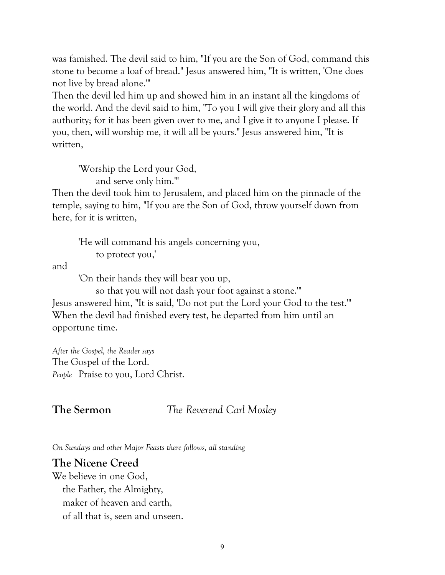was famished. The devil said to him, "If you are the Son of God, command this stone to become a loaf of bread." Jesus answered him, "It is written, 'One does not live by bread alone.'"

Then the devil led him up and showed him in an instant all the kingdoms of the world. And the devil said to him, "To you I will give their glory and all this authority; for it has been given over to me, and I give it to anyone I please. If you, then, will worship me, it will all be yours." Jesus answered him, "It is written,

'Worship the Lord your God, and serve only him.'"

Then the devil took him to Jerusalem, and placed him on the pinnacle of the temple, saying to him, "If you are the Son of God, throw yourself down from here, for it is written,

'He will command his angels concerning you, to protect you,'

and

'On their hands they will bear you up,

so that you will not dash your foot against a stone.'" Jesus answered him, "It is said, 'Do not put the Lord your God to the test.'" When the devil had finished every test, he departed from him until an opportune time.

*After the Gospel, the Reader says* The Gospel of the Lord. *People* Praise to you, Lord Christ.

#### **The Sermon** *The Reverend Carl Mosley*

*On Sundays and other Major Feasts there follows, all standing*

#### **The Nicene Creed**

We believe in one God, the Father, the Almighty, maker of heaven and earth, of all that is, seen and unseen.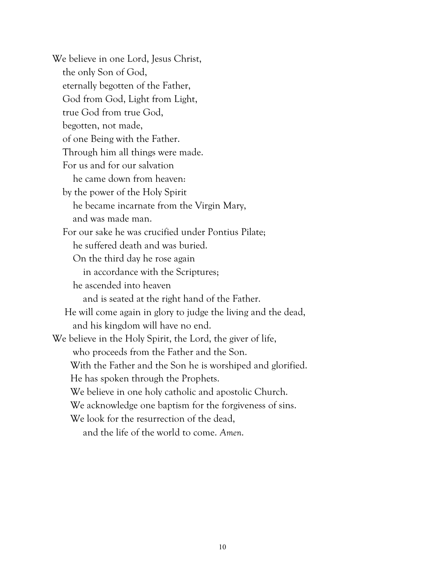We believe in one Lord, Jesus Christ, the only Son of God, eternally begotten of the Father, God from God, Light from Light, true God from true God, begotten, not made, of one Being with the Father. Through him all things were made. For us and for our salvation he came down from heaven: by the power of the Holy Spirit he became incarnate from the Virgin Mary, and was made man. For our sake he was crucified under Pontius Pilate; he suffered death and was buried. On the third day he rose again in accordance with the Scriptures; he ascended into heaven and is seated at the right hand of the Father. He will come again in glory to judge the living and the dead, and his kingdom will have no end. We believe in the Holy Spirit, the Lord, the giver of life, who proceeds from the Father and the Son. With the Father and the Son he is worshiped and glorified. He has spoken through the Prophets. We believe in one holy catholic and apostolic Church. We acknowledge one baptism for the forgiveness of sins. We look for the resurrection of the dead, and the life of the world to come. *Amen*.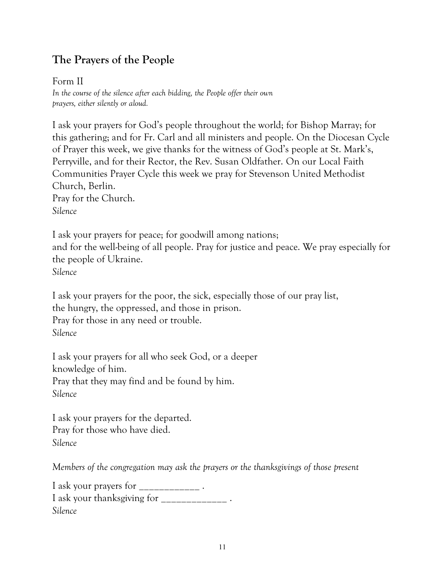### **The Prayers of the People**

#### Form II

*In the course of the silence after each bidding, the People offer their own prayers, either silently or aloud.* 

I ask your prayers for God's people throughout the world; for Bishop Marray; for this gathering; and for Fr. Carl and all ministers and people. On the Diocesan Cycle of Prayer this week, we give thanks for the witness of God's people at St. Mark's, Perryville, and for their Rector, the Rev. Susan Oldfather. On our Local Faith Communities Prayer Cycle this week we pray for Stevenson United Methodist Church, Berlin. Pray for the Church. *Silence* 

I ask your prayers for peace; for goodwill among nations; and for the well-being of all people. Pray for justice and peace. We pray especially for the people of Ukraine. *Silence*

I ask your prayers for the poor, the sick, especially those of our pray list, the hungry, the oppressed, and those in prison. Pray for those in any need or trouble. *Silence* 

I ask your prayers for all who seek God, or a deeper knowledge of him. Pray that they may find and be found by him. *Silence* 

I ask your prayers for the departed. Pray for those who have died. *Silence* 

*Members of the congregation may ask the prayers or the thanksgivings of those present* 

I ask your prayers for  $\frac{1}{2}$ I ask your thanksgiving for  $\qquad \qquad$ . *Silence*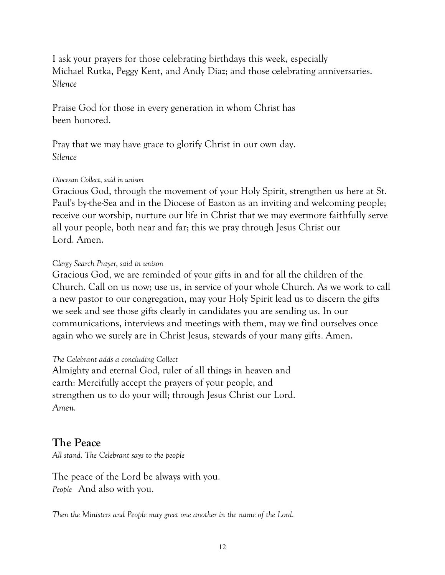I ask your prayers for those celebrating birthdays this week, especially Michael Rutka, Peggy Kent, and Andy Diaz; and those celebrating anniversaries. *Silence* 

Praise God for those in every generation in whom Christ has been honored.

Pray that we may have grace to glorify Christ in our own day. *Silence*

#### *Diocesan Collect*, *said in unison*

Gracious God, through the movement of your Holy Spirit, strengthen us here at St. Paul's by-the-Sea and in the Diocese of Easton as an inviting and welcoming people; receive our worship, nurture our life in Christ that we may evermore faithfully serve all your people, both near and far; this we pray through Jesus Christ our Lord. Amen.

#### *Clergy Search Prayer, said in unison*

Gracious God, we are reminded of your gifts in and for all the children of the Church. Call on us now; use us, in service of your whole Church. As we work to call a new pastor to our congregation, may your Holy Spirit lead us to discern the gifts we seek and see those gifts clearly in candidates you are sending us. In our communications, interviews and meetings with them, may we find ourselves once again who we surely are in Christ Jesus, stewards of your many gifts. Amen.

#### *The Celebrant adds a concluding Collect*

Almighty and eternal God, ruler of all things in heaven and earth: Mercifully accept the prayers of your people, and strengthen us to do your will; through Jesus Christ our Lord. *Amen.*

#### **The Peace**

*All stand. The Celebrant says to the people*

The peace of the Lord be always with you. *People* And also with you.

*Then the Ministers and People may greet one another in the name of the Lord.*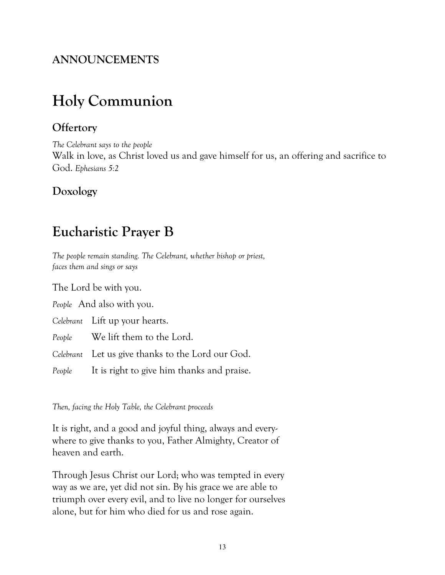### **ANNOUNCEMENTS**

# **Holy Communion**

#### **Offertory**

*The Celebrant says to the people* Walk in love, as Christ loved us and gave himself for us, an offering and sacrifice to God. *Ephesians 5:2*

#### **Doxology**

## **Eucharistic Prayer B**

*The people remain standing. The Celebrant, whether bishop or priest, faces them and sings or says*

The Lord be with you.

*People* And also with you.

*Celebrant* Lift up your hearts.

*People* We lift them to the Lord.

*Celebrant* Let us give thanks to the Lord our God.

*People* It is right to give him thanks and praise.

*Then, facing the Holy Table, the Celebrant proceeds*

It is right, and a good and joyful thing, always and everywhere to give thanks to you, Father Almighty, Creator of heaven and earth.

Through Jesus Christ our Lord; who was tempted in every way as we are, yet did not sin. By his grace we are able to triumph over every evil, and to live no longer for ourselves alone, but for him who died for us and rose again.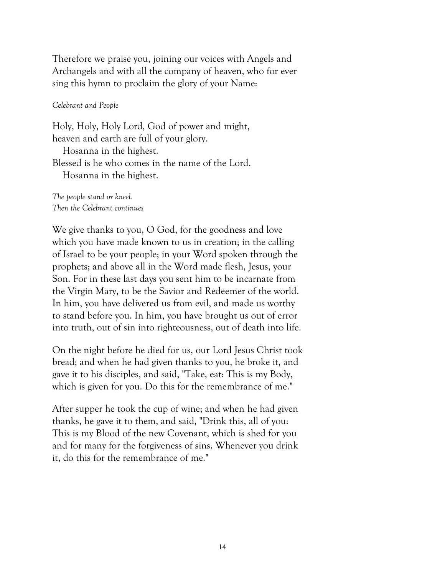Therefore we praise you, joining our voices with Angels and Archangels and with all the company of heaven, who for ever sing this hymn to proclaim the glory of your Name:

#### *Celebrant and People*

Holy, Holy, Holy Lord, God of power and might, heaven and earth are full of your glory.

 Hosanna in the highest. Blessed is he who comes in the name of the Lord.

Hosanna in the highest.

*The people stand or kneel. Then the Celebrant continues*

We give thanks to you, O God, for the goodness and love which you have made known to us in creation; in the calling of Israel to be your people; in your Word spoken through the prophets; and above all in the Word made flesh, Jesus, your Son. For in these last days you sent him to be incarnate from the Virgin Mary, to be the Savior and Redeemer of the world. In him, you have delivered us from evil, and made us worthy to stand before you. In him, you have brought us out of error into truth, out of sin into righteousness, out of death into life.

On the night before he died for us, our Lord Jesus Christ took bread; and when he had given thanks to you, he broke it, and gave it to his disciples, and said, "Take, eat: This is my Body, which is given for you. Do this for the remembrance of me."

After supper he took the cup of wine; and when he had given thanks, he gave it to them, and said, "Drink this, all of you: This is my Blood of the new Covenant, which is shed for you and for many for the forgiveness of sins. Whenever you drink it, do this for the remembrance of me."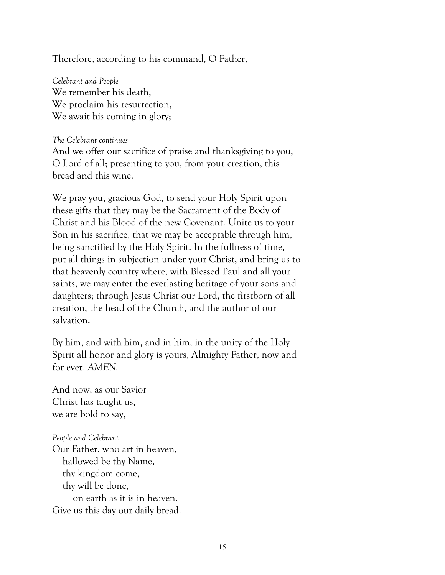Therefore, according to his command, O Father,

*Celebrant and People* We remember his death, We proclaim his resurrection, We await his coming in glory;

*The Celebrant continues*

And we offer our sacrifice of praise and thanksgiving to you, O Lord of all; presenting to you, from your creation, this bread and this wine.

We pray you, gracious God, to send your Holy Spirit upon these gifts that they may be the Sacrament of the Body of Christ and his Blood of the new Covenant. Unite us to your Son in his sacrifice, that we may be acceptable through him, being sanctified by the Holy Spirit. In the fullness of time, put all things in subjection under your Christ, and bring us to that heavenly country where, with Blessed Paul and all your saints, we may enter the everlasting heritage of your sons and daughters; through Jesus Christ our Lord, the firstborn of all creation, the head of the Church, and the author of our salvation.

By him, and with him, and in him, in the unity of the Holy Spirit all honor and glory is yours, Almighty Father, now and for ever. *AMEN.*

And now, as our Savior Christ has taught us, we are bold to say,

*People and Celebrant* Our Father, who art in heaven, hallowed be thy Name, thy kingdom come, thy will be done, on earth as it is in heaven. Give us this day our daily bread.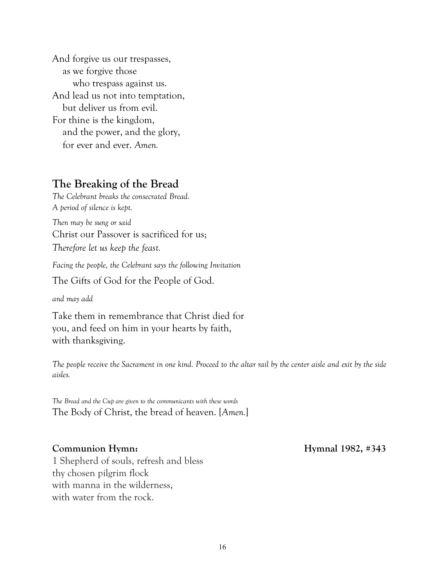And forgive us our trespasses, as we forgive those who trespass against us. And lead us not into temptation, but deliver us from evil. For thine is the kingdom, and the power, and the glory, for ever and ever. *Amen.*

#### **The Breaking of the Bread**

*The Celebrant breaks the consecrated Bread. A period of silence is kept.*

*Then may be sung or said* Christ our Passover is sacrificed for us; *Therefore let us keep the feast.*

*Facing the people, the Celebrant says the following Invitation*

The Gifts of God for the People of God.

*and may add*

Take them in remembrance that Christ died for you, and feed on him in your hearts by faith, with thanksgiving.

*The people receive the Sacrament in one kind. Proceed to the altar rail by the center aisle and exit by the side aisles.*

*The Bread and the Cup are given to the communicants with these words* The Body of Christ, the bread of heaven. [*Amen.*]

#### **Communion Hymn: Hymnal 1982, #343**

1 Shepherd of souls, refresh and bless thy chosen pilgrim flock with manna in the wilderness, with water from the rock.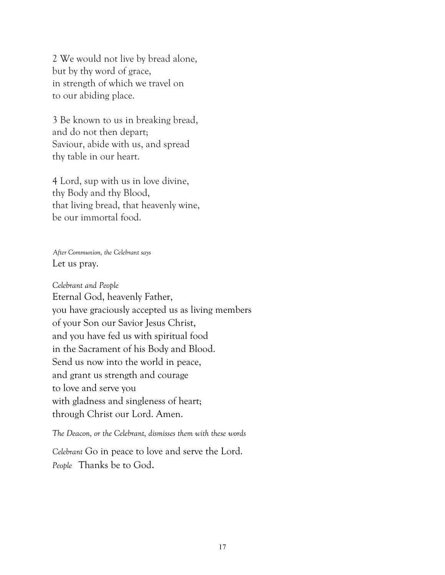2 We would not live by bread alone, but by thy word of grace, in strength of which we travel on to our abiding place.

3 Be known to us in breaking bread, and do not then depart; Saviour, abide with us, and spread thy table in our heart.

4 Lord, sup with us in love divine, thy Body and thy Blood, that living bread, that heavenly wine, be our immortal food.

*After Communion, the Celebrant says* Let us pray.

*Celebrant and People* Eternal God, heavenly Father, you have graciously accepted us as living members of your Son our Savior Jesus Christ, and you have fed us with spiritual food in the Sacrament of his Body and Blood. Send us now into the world in peace, and grant us strength and courage to love and serve you with gladness and singleness of heart; through Christ our Lord. Amen.

*The Deacon, or the Celebrant, dismisses them with these words*

*Celebrant* Go in peace to love and serve the Lord. *People* Thanks be to God.